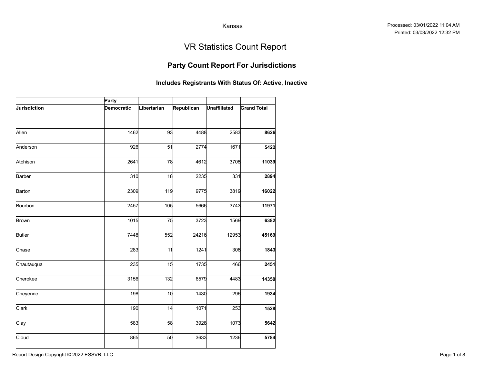### Party Count Report For Jurisdictions

|               |                            |             |                                                       | Kansas              |                                   |
|---------------|----------------------------|-------------|-------------------------------------------------------|---------------------|-----------------------------------|
|               |                            |             |                                                       |                     | <b>VR Statistics Count Report</b> |
|               |                            |             | <b>Party Count Report For Jurisdictions</b>           |                     |                                   |
|               |                            |             | Includes Registrants With Status Of: Active, Inactive |                     |                                   |
| Jurisdiction  | Party<br><b>Democratic</b> | Libertarian | Republican                                            | <b>Unaffiliated</b> | <b>Grand Total</b>                |
| Allen         | 1462                       | 93          | 4488                                                  | 2583                | 8626                              |
| Anderson      | 926                        | 51          | 2774                                                  | 1671                | 5422                              |
| Atchison      | 2641                       | 78          | 4612                                                  | 3708                | 11039                             |
| Barber        | 310                        | 18          | 2235                                                  | 331                 | 2894                              |
| Barton        | 2309                       | 119         | 9775                                                  | 3819                | 16022                             |
| Bourbon       | 2457                       | 105         | 5666                                                  | 3743                | 11971                             |
| Brown         | 1015                       | 75          | 3723                                                  | 1569                | 6382                              |
| <b>Butler</b> | 7448                       | 552         | 24216                                                 | 12953               | 45169                             |
| Chase         | 283                        | 11          | 1241                                                  | 308                 | 1843                              |
| Chautauqua    | 235                        | 15          | 1735                                                  | 466                 | 2451                              |
| Cherokee      | 3156                       | 132         | 6579                                                  | 4483                | 14350                             |
| Cheyenne      | 198                        | 10          | 1430                                                  | 296                 | 1934                              |
| Clark         | 190                        | 14          | 1071                                                  | 253                 | 1528                              |
| Clay          | 583                        | 58          | 3928                                                  | 1073                | 5642                              |
| Cloud         | 865                        | 50          | 3633                                                  | 1236                | 5784                              |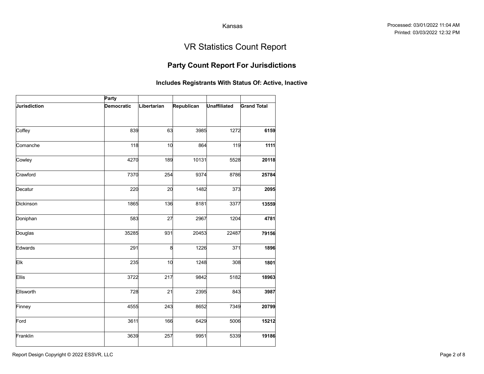### Party Count Report For Jurisdictions

|              |            |             |                                                       | Kansas              |                                   |
|--------------|------------|-------------|-------------------------------------------------------|---------------------|-----------------------------------|
|              |            |             |                                                       |                     |                                   |
|              |            |             |                                                       |                     | <b>VR Statistics Count Report</b> |
|              |            |             | <b>Party Count Report For Jurisdictions</b>           |                     |                                   |
|              |            |             | Includes Registrants With Status Of: Active, Inactive |                     |                                   |
|              | Party      |             |                                                       |                     |                                   |
| Jurisdiction | Democratic | Libertarian | Republican                                            | <b>Unaffiliated</b> | <b>Grand Total</b>                |
| Coffey       | 839        | 63          | 3985                                                  | 1272                | 6159                              |
| Comanche     | 118        | 10          | 864                                                   | 119                 | 1111                              |
| Cowley       | 4270       | 189         | 10131                                                 | 5528                | 20118                             |
| Crawford     | 7370       | 254         | 9374                                                  | 8786                | 25784                             |
| Decatur      | 220        | 20          | 1482                                                  | 373                 | 2095                              |
| Dickinson    | 1865       | 136         | 8181                                                  | 3377                | 13559                             |
| Doniphan     | 583        | 27          | 2967                                                  | 1204                | 4781                              |
| Douglas      | 35285      | 931         | 20453                                                 | 22487               | 79156                             |
| Edwards      | 291        | 8           | 1226                                                  | 371                 | 1896                              |
| Elk          | 235        | 10          | 1248                                                  | 308                 | 1801                              |
| Ellis        | 3722       | 217         | 9842                                                  | 5182                | 18963                             |
| Ellsworth    | 728        | 21          | 2395                                                  | 843                 | 3987                              |
| Finney       | 4555       | 243         | 8652                                                  | 7349                | 20799                             |
| Ford         | 3611       | 166         | 6429                                                  | 5006                | 15212                             |
| Franklin     | 3639       | 257         | 9951                                                  | 5339                | 19186                             |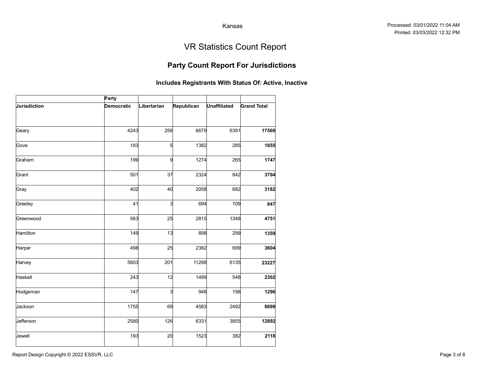### Party Count Report For Jurisdictions

|              |                   |             |                                                       | Kansas              |                                   |
|--------------|-------------------|-------------|-------------------------------------------------------|---------------------|-----------------------------------|
|              |                   |             |                                                       |                     | <b>VR Statistics Count Report</b> |
|              |                   |             | <b>Party Count Report For Jurisdictions</b>           |                     |                                   |
|              |                   |             | Includes Registrants With Status Of: Active, Inactive |                     |                                   |
|              | Party             |             |                                                       |                     |                                   |
| Jurisdiction | <b>Democratic</b> | Libertarian | Republican                                            | <b>Unaffiliated</b> | <b>Grand Total</b>                |
| Geary        | 4243              | 256         | 6679                                                  | 6391                | 17569                             |
| Gove         | 183               | 5           | 1382                                                  | 285                 | 1855                              |
| Graham       | 199               | 9           | 1274                                                  | 265                 | 1747                              |
| Grant        | 501               | 37          | 2324                                                  | 842                 | 3704                              |
| Gray         | 402               | 40          | 2058                                                  | 682                 | 3182                              |
| Greeley      | 41                | 3           | 694                                                   | 109                 | 847                               |
| Greenwood    | 563               | 25          | 2815                                                  | 1348                | 4751                              |
| Hamilton     | 149               | 13          | 898                                                   | 299                 | 1359                              |
| Harper       | 498               | 25          | 2382                                                  | 699                 | 3604                              |
| Harvey       | 5603              | 201         | 11288                                                 | 6135                | 23227                             |
| Haskell      | 243               | 12          | 1499                                                  | 548                 | 2302                              |
| Hodgeman     | 147               | 3           | 948                                                   | 198                 | 1296                              |
| Jackson      | 1755              | 69          | 4583                                                  | 2492                | 8899                              |
| Jefferson    | 2580              | 126         | 6331                                                  | 3855                | 12892                             |
| Jewell       | 193               | 20          | 1523                                                  | 382                 | 2118                              |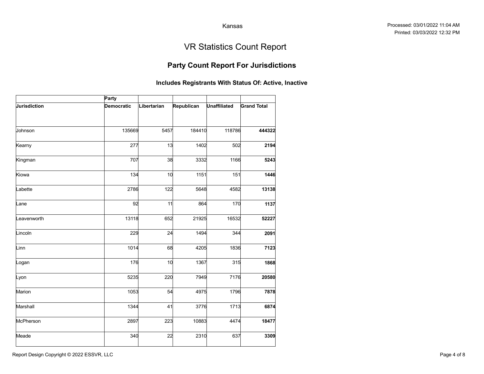### Party Count Report For Jurisdictions

|              |            |             |                                                       | Kansas              |                                   |
|--------------|------------|-------------|-------------------------------------------------------|---------------------|-----------------------------------|
|              |            |             |                                                       |                     | <b>VR Statistics Count Report</b> |
|              |            |             | <b>Party Count Report For Jurisdictions</b>           |                     |                                   |
|              |            |             | Includes Registrants With Status Of: Active, Inactive |                     |                                   |
|              | Party      |             |                                                       |                     |                                   |
| Jurisdiction | Democratic | Libertarian | Republican                                            | <b>Unaffiliated</b> | <b>Grand Total</b>                |
| Johnson      | 135669     | 5457        | 184410                                                | 118786              | 444322                            |
| Kearny       | 277        | 13          | 1402                                                  | 502                 | 2194                              |
| Kingman      | 707        | 38          | 3332                                                  | 1166                | 5243                              |
| Kiowa        | 134        | 10          | 1151                                                  | 151                 | 1446                              |
| Labette      | 2786       | 122         | 5648                                                  | 4582                | 13138                             |
| Lane         | 92         | 11          | 864                                                   | 170                 | 1137                              |
| _eavenworth  | 13118      | 652         | 21925                                                 | 16532               | 52227                             |
| Lincoln      | 229        | 24          | 1494                                                  | 344                 | 2091                              |
| Linn         | 1014       | 68          | 4205                                                  | 1836                | 7123                              |
| Logan        | 176        | 10          | 1367                                                  | 315                 | 1868                              |
| Lyon         | 5235       | 220         | 7949                                                  | 7176                | 20580                             |
| Marion       | 1053       | 54          | 4975                                                  | 1796                | 7878                              |
| Marshall     | 1344       | 41          | 3776                                                  | 1713                | 6874                              |
| McPherson    | 2897       | 223         | 10883                                                 | 4474                | 18477                             |
| Meade        | 340        | 22          | 2310                                                  | 637                 | 3309                              |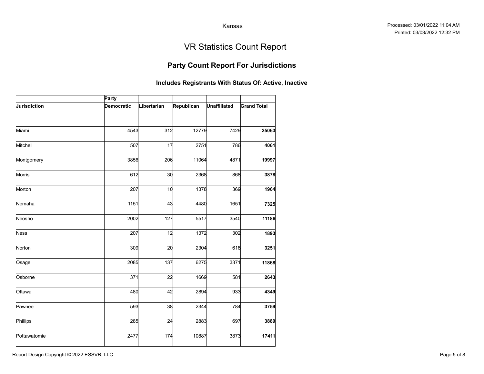### Party Count Report For Jurisdictions

|                     |            |             |                                                       | Kansas              |                                   |
|---------------------|------------|-------------|-------------------------------------------------------|---------------------|-----------------------------------|
|                     |            |             |                                                       |                     | <b>VR Statistics Count Report</b> |
|                     |            |             | <b>Party Count Report For Jurisdictions</b>           |                     |                                   |
|                     |            |             | Includes Registrants With Status Of: Active, Inactive |                     |                                   |
|                     | Party      |             |                                                       |                     |                                   |
| <b>Jurisdiction</b> | Democratic | Libertarian | Republican                                            | <b>Unaffiliated</b> | <b>Grand Total</b>                |
|                     |            |             |                                                       |                     |                                   |
| Miami               | 4543       | 312         | 12779                                                 | 7429                | 25063                             |
| Mitchell            | 507        | 17          | 2751                                                  | 786                 | 4061                              |
| Montgomery          | 3856       | 206         | 11064                                                 | 4871                | 19997                             |
| Morris              | 612        | 30          | 2368                                                  | 868                 | 3878                              |
| Morton              | 207        | 10          | 1378                                                  | 369                 | 1964                              |
| Nemaha              | 1151       | 43          | 4480                                                  | 1651                | 7325                              |
| Neosho              | 2002       | 127         | 5517                                                  | 3540                | 11186                             |
| <b>Ness</b>         | 207        | 12          | 1372                                                  | 302                 | 1893                              |
| Norton              | 309        | 20          | 2304                                                  | 618                 | 3251                              |
| Osage               | 2085       | 137         | 6275                                                  | 3371                | 11868                             |
| Osborne             | 371        | 22          | 1669                                                  | 581                 | 2643                              |
| Ottawa              | 480        | 42          | 2894                                                  | 933                 | 4349                              |
| Pawnee              | 593        | 38          | 2344                                                  | 784                 | 3759                              |
| Phillips            | 285        | 24          | 2883                                                  | 697                 | 3889                              |
| Pottawatomie        | 2477       | 174         | 10887                                                 | 3873                | 17411                             |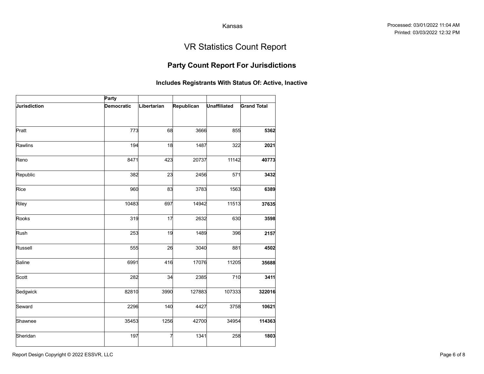### Party Count Report For Jurisdictions

|              |                   |             |                                                       | Kansas              |                                   |
|--------------|-------------------|-------------|-------------------------------------------------------|---------------------|-----------------------------------|
|              |                   |             |                                                       |                     | <b>VR Statistics Count Report</b> |
|              |                   |             | <b>Party Count Report For Jurisdictions</b>           |                     |                                   |
|              |                   |             | Includes Registrants With Status Of: Active, Inactive |                     |                                   |
|              | Party             |             |                                                       |                     |                                   |
| Jurisdiction | <b>Democratic</b> | Libertarian | Republican                                            | <b>Unaffiliated</b> | <b>Grand Total</b>                |
|              |                   |             |                                                       |                     |                                   |
| Pratt        | 773               | 68          | 3666                                                  | 855                 | 5362                              |
| Rawlins      | 194               | 18          | 1487                                                  | 322                 | 2021                              |
| Reno         | 8471              | 423         | 20737                                                 | 11142               | 40773                             |
| Republic     | 382               | 23          | 2456                                                  | 571                 | 3432                              |
| Rice         | 960               | 83          | 3783                                                  | 1563                | 6389                              |
| Riley        | 10483             | 697         | 14942                                                 | 11513               | 37635                             |
| Rooks        | 319               | 17          | 2632                                                  | 630                 | 3598                              |
| Rush         | 253               | 19          | 1489                                                  | 396                 | 2157                              |
| Russell      | 555               | 26          | 3040                                                  | 881                 | 4502                              |
| Saline       | 6991              | 416         | 17076                                                 | 11205               | 35688                             |
| Scott        | 282               | 34          | 2385                                                  | 710                 | 3411                              |
| Sedgwick     | 82810             | 3990        | 127883                                                | 107333              | 322016                            |
| Seward       | 2296              | 140         | 4427                                                  | 3758                | 10621                             |
| Shawnee      | 35453             | 1256        | 42700                                                 | 34954               | 114363                            |
| Sheridan     | 197               | 7           | 1341                                                  | 258                 | 1803                              |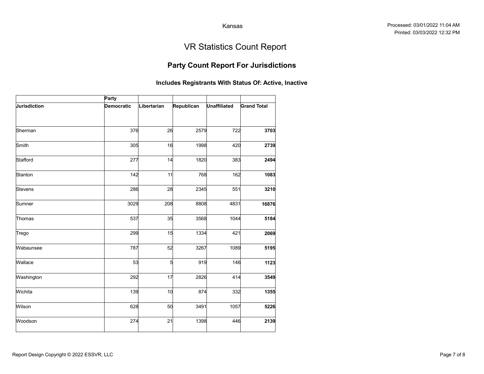### Party Count Report For Jurisdictions

|              |                   |             |                        | Kansas              |                                                       |
|--------------|-------------------|-------------|------------------------|---------------------|-------------------------------------------------------|
|              |                   |             |                        |                     | <b>VR Statistics Count Report</b>                     |
|              |                   |             |                        |                     | <b>Party Count Report For Jurisdictions</b>           |
|              |                   |             |                        |                     | Includes Registrants With Status Of: Active, Inactive |
|              | Party             |             |                        |                     |                                                       |
| Jurisdiction | <b>Democratic</b> | Libertarian | Republican             | <b>Unaffiliated</b> | <b>Grand Total</b>                                    |
|              |                   |             |                        |                     |                                                       |
| Sherman      | 376               | 26          | 2579                   | 722                 | 3703                                                  |
| Smith        | 305               | 16          | 1998                   | 420                 | 2739                                                  |
| Stafford     | 277               | 14          | 1820                   | 383                 | 2494                                                  |
| Stanton      | 142               | 11          | 768                    | 162                 | 1083                                                  |
| Stevens      | 286               | 28          | 2345                   | 551                 | 3210                                                  |
| Sumner       | 3029              | 208         | 8808                   | 4831                | 16876                                                 |
| Thomas       | 537               | 35          | 3568                   | 1044                | 5184                                                  |
| Trego        | 299               | 15          | 1334                   | 421                 | 2069                                                  |
| Wabaunsee    | 787               | 52          | 3267                   | 1089                | 5195                                                  |
| Wallace      | 53                |             | $5\overline{a}$<br>919 | 146                 | 1123                                                  |
| Washington   | 292               | 17          | 2826                   | 414                 | 3549                                                  |
| Wichita      | 139               | 10          | 874                    | 332                 | 1355                                                  |
| Wilson       | 628               | 50          | 3491                   | 1057                | 5226                                                  |
| Woodson      | 274               | 21          | 1398                   | 446                 | 2139                                                  |